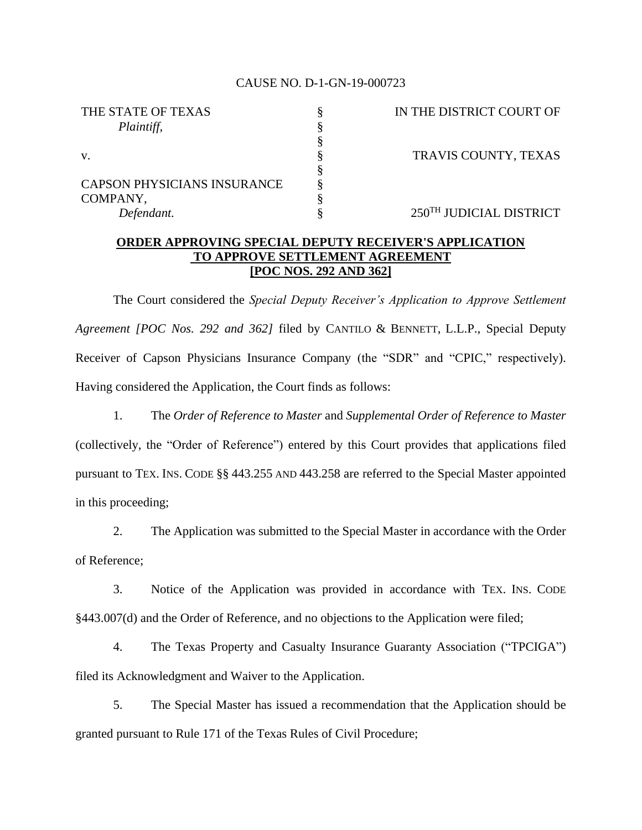## CAUSE NO. D-1-GN-19-000723

| IN THE DISTRICT COURT OF            |
|-------------------------------------|
|                                     |
|                                     |
| TRAVIS COUNTY, TEXAS                |
|                                     |
|                                     |
|                                     |
| 250 <sup>TH</sup> JUDICIAL DISTRICT |
|                                     |

## **ORDER APPROVING SPECIAL DEPUTY RECEIVER'S APPLICATION TO APPROVE SETTLEMENT AGREEMENT [POC NOS. 292 AND 362]**

The Court considered the *Special Deputy Receiver's Application to Approve Settlement Agreement [POC Nos. 292 and 362]* filed by CANTILO & BENNETT, L.L.P., Special Deputy Receiver of Capson Physicians Insurance Company (the "SDR" and "CPIC," respectively). Having considered the Application, the Court finds as follows:

1. The *Order of Reference to Master* and *Supplemental Order of Reference to Master* (collectively, the "Order of Reference") entered by this Court provides that applications filed pursuant to TEX. INS. CODE §§ 443.255 AND 443.258 are referred to the Special Master appointed in this proceeding;

2. The Application was submitted to the Special Master in accordance with the Order of Reference;

3. Notice of the Application was provided in accordance with TEX. INS. CODE §443.007(d) and the Order of Reference, and no objections to the Application were filed;

4. The Texas Property and Casualty Insurance Guaranty Association ("TPCIGA") filed its Acknowledgment and Waiver to the Application.

5. The Special Master has issued a recommendation that the Application should be granted pursuant to Rule 171 of the Texas Rules of Civil Procedure;